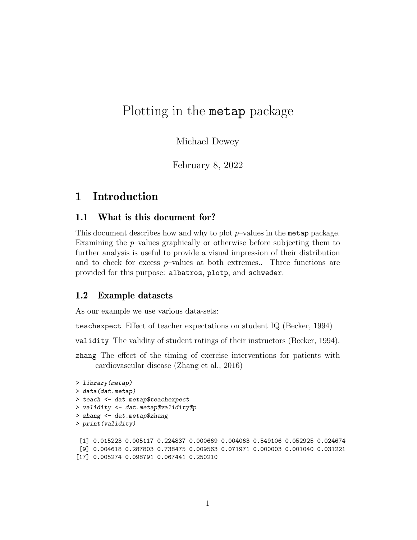# Plotting in the metap package

Michael Dewey

February 8, 2022

## 1 Introduction

#### 1.1 What is this document for?

This document describes how and why to plot  $p$ –values in the metap package. Examining the  $p$ -values graphically or otherwise before subjecting them to further analysis is useful to provide a visual impression of their distribution and to check for excess  $p$ -values at both extremes.. Three functions are provided for this purpose: albatros, plotp, and schweder.

#### 1.2 Example datasets

As our example we use various data-sets:

teachexpect Effect of teacher expectations on student IQ (Becker, 1994)

validity The validity of student ratings of their instructors (Becker, 1994).

zhang The effect of the timing of exercise interventions for patients with cardiovascular disease (Zhang et al., 2016)

```
> library(metap)
> data(dat.metap)
> teach <- dat.metap$teachexpect
> validity <- dat.metap$validity$p
> zhang <- dat.metap$zhang
> print(validity)
 [1] 0.015223 0.005117 0.224837 0.000669 0.004063 0.549106 0.052925 0.024674
 [9] 0.004618 0.287803 0.738475 0.009563 0.071971 0.000003 0.001040 0.031221
[17] 0.005274 0.098791 0.067441 0.250210
```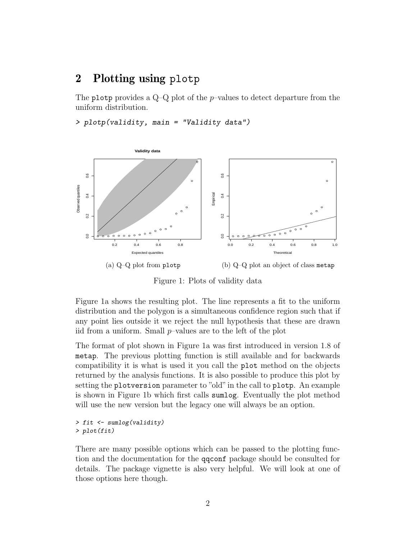## 2 Plotting using plotp

The plotp provides a  $Q-Q$  plot of the *p*-values to detect departure from the uniform distribution.

> plotp(validity, main = "Validity data")



Figure 1: Plots of validity data

Figure 1a shows the resulting plot. The line represents a fit to the uniform distribution and the polygon is a simultaneous confidence region such that if any point lies outside it we reject the null hypothesis that these are drawn iid from a uniform. Small  $p$ -values are to the left of the plot

The format of plot shown in Figure 1a was first introduced in version 1.8 of metap. The previous plotting function is still available and for backwards compatibility it is what is used it you call the plot method on the objects returned by the analysis functions. It is also possible to produce this plot by setting the plotversion parameter to "old"in the call to plotp. An example is shown in Figure 1b which first calls sumlog. Eventually the plot method will use the new version but the legacy one will always be an option.

```
> fit <- sumlog(validity)
> plot(fit)
```
There are many possible options which can be passed to the plotting function and the documentation for the qqconf package should be consulted for details. The package vignette is also very helpful. We will look at one of those options here though.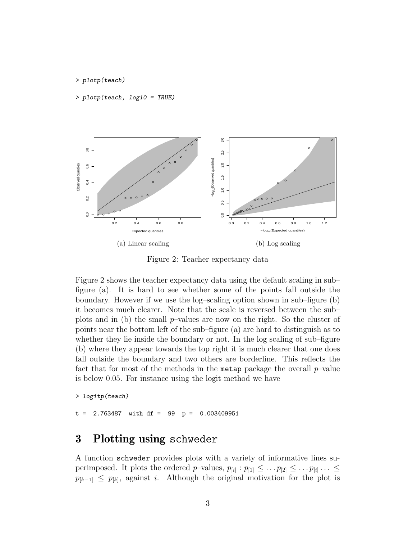#### > plotp(teach)

> plotp(teach, log10 = TRUE)



Figure 2: Teacher expectancy data

Figure 2 shows the teacher expectancy data using the default scaling in sub– figure (a). It is hard to see whether some of the points fall outside the boundary. However if we use the log–scaling option shown in sub–figure (b) it becomes much clearer. Note that the scale is reversed between the sub– plots and in (b) the small p–values are now on the right. So the cluster of points near the bottom left of the sub–figure (a) are hard to distinguish as to whether they lie inside the boundary or not. In the log scaling of sub–figure (b) where they appear towards the top right it is much clearer that one does fall outside the boundary and two others are borderline. This reflects the fact that for most of the methods in the metap package the overall  $p$ –value is below 0.05. For instance using the logit method we have

> logitp(teach)

 $2.763487$  with df = 99 p = 0.003409951

## 3 Plotting using schweder

A function schweder provides plots with a variety of informative lines superimposed. It plots the ordered *p*-values,  $p_{[i]} : p_{[1]} \leq \ldots p_{[2]} \leq \ldots p_{[i]} \ldots \leq$  $p_{[k-1]} \leq p_{[k]}$ , against *i*. Although the original motivation for the plot is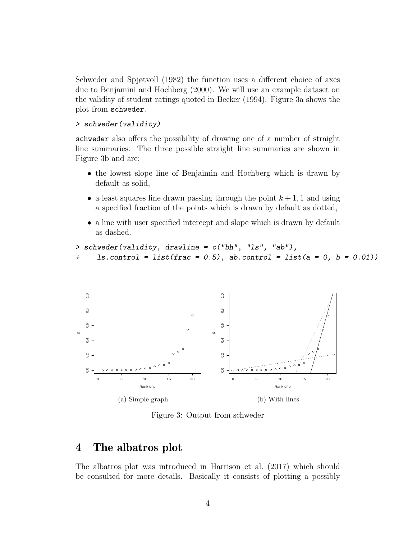Schweder and Spjøtvoll (1982) the function uses a different choice of axes due to Benjamini and Hochberg (2000). We will use an example dataset on the validity of student ratings quoted in Becker (1994). Figure 3a shows the plot from schweder.

> schweder(validity)

schweder also offers the possibility of drawing one of a number of straight line summaries. The three possible straight line summaries are shown in Figure 3b and are:

- the lowest slope line of Benjaimin and Hochberg which is drawn by default as solid,
- a least squares line drawn passing through the point  $k + 1$ , 1 and using a specified fraction of the points which is drawn by default as dotted,
- a line with user specified intercept and slope which is drawn by default as dashed.

```
> schweder(validity, drawline = c("bh", "ls", "ab"),
+ ls.control = list(frac = 0.5), ab.control = list(a = 0, b = 0.01))
```


Figure 3: Output from schweder

## 4 The albatros plot

The albatros plot was introduced in Harrison et al. (2017) which should be consulted for more details. Basically it consists of plotting a possibly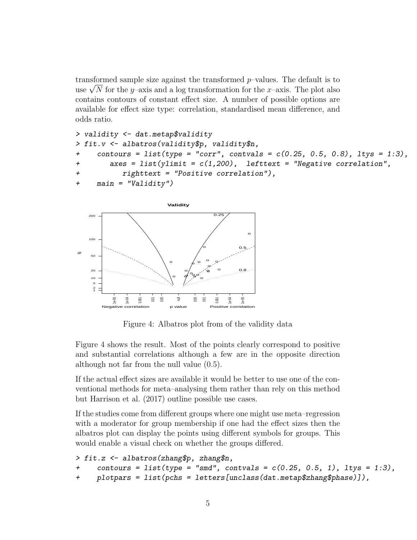transformed sample size against the transformed p–values. The default is to transformed sample size against the transformed p–values. The default is to use  $\sqrt{N}$  for the y–axis and a log transformation for the x–axis. The plot also contains contours of constant effect size. A number of possible options are available for effect size type: correlation, standardised mean difference, and odds ratio.

```
> validity <- dat.metap$validity
> fit.v <- albatros(validity$p, validity$n,
+ contours = list(type = "corr", contvals = c(0.25, 0.5, 0.8), ltys = 1:3),
+ axes = list(ylimit = c(1,200), lefttext = "Negative correlation",
+ righttext = "Positive correlation"),
+ main = "Validity")
```


Figure 4: Albatros plot from of the validity data

Figure 4 shows the result. Most of the points clearly correspond to positive and substantial correlations although a few are in the opposite direction although not far from the null value (0.5).

If the actual effect sizes are available it would be better to use one of the conventional methods for meta–analysing them rather than rely on this method but Harrison et al. (2017) outline possible use cases.

If the studies come from different groups where one might use meta–regression with a moderator for group membership if one had the effect sizes then the albatros plot can display the points using different symbols for groups. This would enable a visual check on whether the groups differed.

```
> fit.z <- albatros(zhang$p, zhang$n,
      \text{contours} = \text{list}(\text{type} = \text{''smd''}, \text{contvals} = c(0.25, 0.5, 1), \text{ltys} = 1:3),+ plotpars = list(pchs = letters[unclass(dat.metap$zhang$phase)]),
```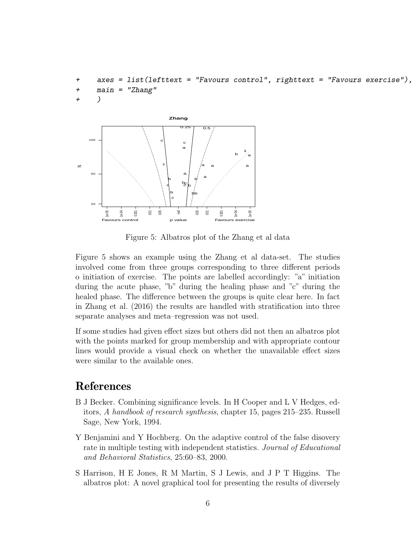```
+ axes = list(lefttext = "Favours control", righttext = "Favours exercise"),
+ main = "Zhang"
+ )
```


Figure 5: Albatros plot of the Zhang et al data

Figure 5 shows an example using the Zhang et al data-set. The studies involved come from three groups corresponding to three different periods o initiation of exercise. The points are labelled accordingly: "a" initiation during the acute phase, "b" during the healing phase and "c" during the healed phase. The difference between the groups is quite clear here. In fact in Zhang et al. (2016) the results are handled with stratification into three separate analyses and meta–regression was not used.

If some studies had given effect sizes but others did not then an albatros plot with the points marked for group membership and with appropriate contour lines would provide a visual check on whether the unavailable effect sizes were similar to the available ones.

#### References

- B J Becker. Combining significance levels. In H Cooper and L V Hedges, editors, A handbook of research synthesis, chapter 15, pages 215–235. Russell Sage, New York, 1994.
- Y Benjamini and Y Hochberg. On the adaptive control of the false disovery rate in multiple testing with independent statistics. Journal of Educational and Behavioral Statistics, 25:60–83, 2000.
- S Harrison, H E Jones, R M Martin, S J Lewis, and J P T Higgins. The albatros plot: A novel graphical tool for presenting the results of diversely